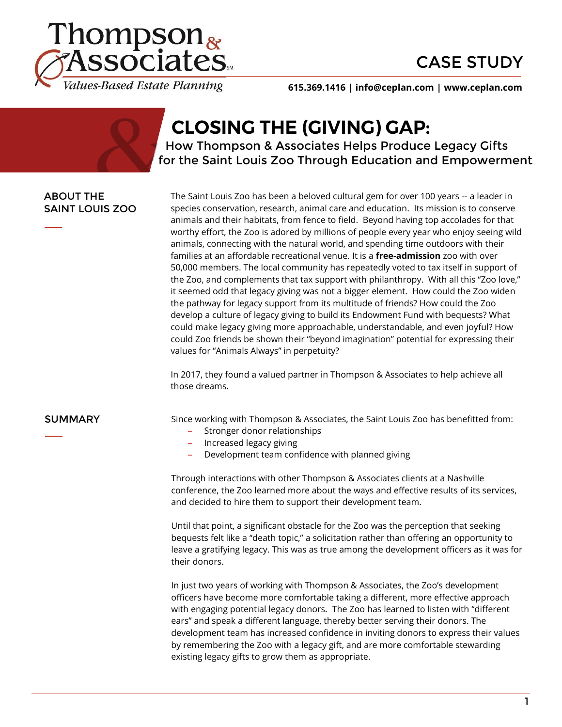



**615.369.1416 | info@ceplan.com | www.ceplan.com**

# **CLOSING THE (GIVING) GAP:**

 How Thompson & Associates Helps Produce Legacy Gifts for the Saint Louis Zoo Through Education and Empowerment

### ABOUT THE SAINT LOUIS ZOO

The Saint Louis Zoo has been a beloved cultural gem for over 100 years -- a leader in species conservation, research, animal care and education. Its mission is to conserve animals and their habitats, from fence to field. Beyond having top accolades for that worthy effort, the Zoo is adored by millions of people every year who enjoy seeing wild animals, connecting with the natural world, and spending time outdoors with their families at an affordable recreational venue. It is a **free-admission** zoo with over 50,000 members. The local community has repeatedly voted to tax itself in support of the Zoo, and complements that tax support with philanthropy. With all this "Zoo love," it seemed odd that legacy giving was not a bigger element. How could the Zoo widen the pathway for legacy support from its multitude of friends? How could the Zoo develop a culture of legacy giving to build its Endowment Fund with bequests? What could make legacy giving more approachable, understandable, and even joyful? How could Zoo friends be shown their "beyond imagination" potential for expressing their values for "Animals Always" in perpetuity?

In 2017, they found a valued partner in Thompson & Associates to help achieve all those dreams.

**SUMMARY** Since working with Thompson & Associates, the Saint Louis Zoo has benefitted from:

- ‒ Stronger donor relationships
- ‒ Increased legacy giving
- ‒ Development team confidence with planned giving

Through interactions with other Thompson & Associates clients at a Nashville conference, the Zoo learned more about the ways and effective results of its services, and decided to hire them to support their development team.

Until that point, a significant obstacle for the Zoo was the perception that seeking bequests felt like a "death topic," a solicitation rather than offering an opportunity to leave a gratifying legacy. This was as true among the development officers as it was for their donors.

In just two years of working with Thompson & Associates, the Zoo's development officers have become more comfortable taking a different, more effective approach with engaging potential legacy donors. The Zoo has learned to listen with "different ears" and speak a different language, thereby better serving their donors. The development team has increased confidence in inviting donors to express their values by remembering the Zoo with a legacy gift, and are more comfortable stewarding existing legacy gifts to grow them as appropriate.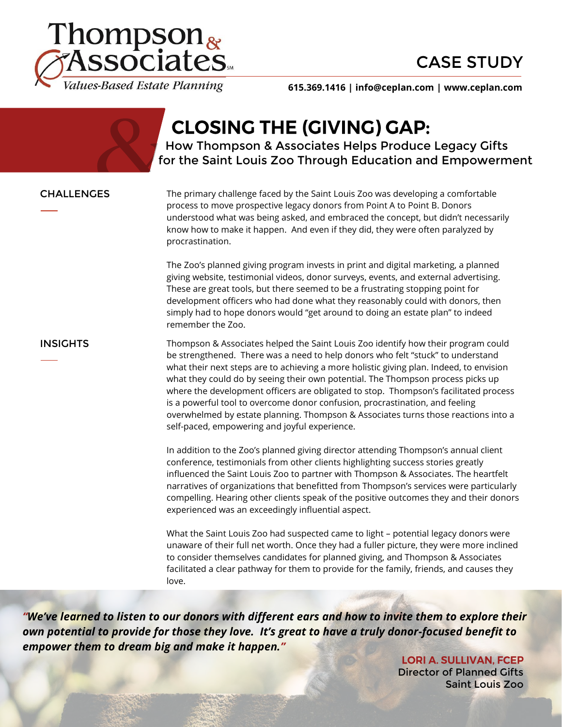



**615.369.1416 | info@ceplan.com | www.ceplan.com**

# **CLOSING THE (GIVING) GAP:**

 How Thompson & Associates Helps Produce Legacy Gifts for the Saint Louis Zoo Through Education and Empowerment

CHALLENGES The primary challenge faced by the Saint Louis Zoo was developing a comfortable process to move prospective legacy donors from Point A to Point B. Donors understood what was being asked, and embraced the concept, but didn't necessarily know how to make it happen. And even if they did, they were often paralyzed by procrastination.

> The Zoo's planned giving program invests in print and digital marketing, a planned giving website, testimonial videos, donor surveys, events, and external advertising. These are great tools, but there seemed to be a frustrating stopping point for development officers who had done what they reasonably could with donors, then simply had to hope donors would "get around to doing an estate plan" to indeed remember the Zoo.

**INSIGHTS** Thompson & Associates helped the Saint Louis Zoo identify how their program could be strengthened. There was a need to help donors who felt "stuck" to understand what their next steps are to achieving a more holistic giving plan. Indeed, to envision what they could do by seeing their own potential. The Thompson process picks up where the development officers are obligated to stop. Thompson's facilitated process is a powerful tool to overcome donor confusion, procrastination, and feeling overwhelmed by estate planning. Thompson & Associates turns those reactions into a self-paced, empowering and joyful experience.

> In addition to the Zoo's planned giving director attending Thompson's annual client conference, testimonials from other clients highlighting success stories greatly influenced the Saint Louis Zoo to partner with Thompson & Associates. The heartfelt narratives of organizations that benefitted from Thompson's services were particularly compelling. Hearing other clients speak of the positive outcomes they and their donors experienced was an exceedingly influential aspect.

> What the Saint Louis Zoo had suspected came to light – potential legacy donors were unaware of their full net worth. Once they had a fuller picture, they were more inclined to consider themselves candidates for planned giving, and Thompson & Associates facilitated a clear pathway for them to provide for the family, friends, and causes they love.

*"We've learned to listen to our donors with different ears and how to invite them to explore their own potential to provide for those they love. It's great to have a truly donor-focused benefit to empower them to dream big and make it happen."* 

> **LORI A. SULLIVAN, FCEP** Director of Planned Gifts Saint Louis Zoo